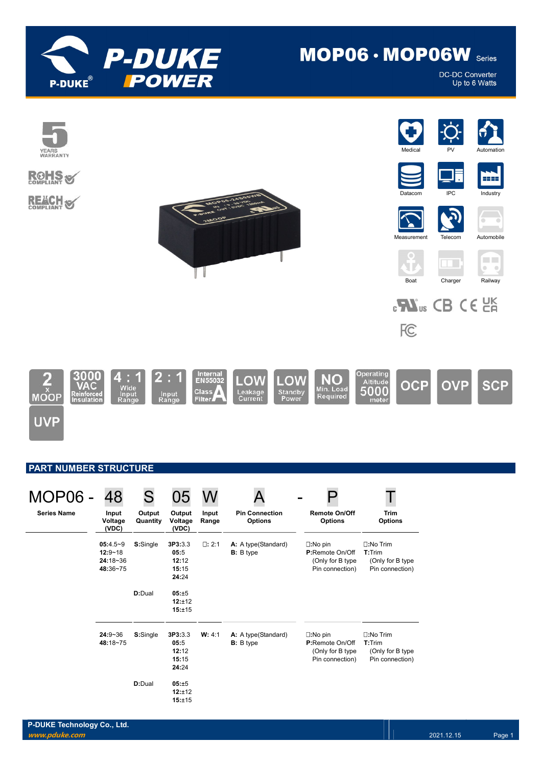

# MOP06 · MOP06W Series

**DC-DC Converter** Up to 6 Watts



## PART NUMBER STRUCTURE

| <b>MOP06 -</b>     | 48                                                    |                    | 05                                         |                |                                           |                                                                             |                                                                      |
|--------------------|-------------------------------------------------------|--------------------|--------------------------------------------|----------------|-------------------------------------------|-----------------------------------------------------------------------------|----------------------------------------------------------------------|
| <b>Series Name</b> | Input<br>Voltage<br>(VDC)                             | Output<br>Quantity | Output<br>Voltage<br>(VDC)                 | Input<br>Range | <b>Pin Connection</b><br><b>Options</b>   | <b>Remote On/Off</b><br><b>Options</b>                                      | <b>Trim</b><br><b>Options</b>                                        |
|                    | $05:4.5-9$<br>$12:9 - 18$<br>$24:18 - 36$<br>48:36~75 | S:Single           | 3P3:3.3<br>05:5<br>12:12<br>15:15<br>24:24 | $\Box: 2:1$    | A: A type (Standard)<br><b>B</b> : B type | $\square:$ No pin<br>P:Remote On/Off<br>(Only for B type<br>Pin connection) | $\square:$ No Trim<br>T:Trim<br>(Only for B type)<br>Pin connection) |
|                    |                                                       | D:Dual             | 05:±5<br>12:±12<br>15:±15                  |                |                                           |                                                                             |                                                                      |
|                    | $24:9 - 36$<br>48:18~75                               | S:Single           | 3P3:3.3<br>05:5<br>12:12<br>15:15<br>24:24 | W: 4:1         | A: A type (Standard)<br><b>B</b> : B type | $\square:$ No pin<br>P:Remote On/Off<br>(Only for B type<br>Pin connection) | $\square:$ No Trim<br>T:Trim<br>(Only for B type<br>Pin connection)  |
|                    |                                                       | D:Dual             | 05:±5<br>12:±12<br>15:±15                  |                |                                           |                                                                             |                                                                      |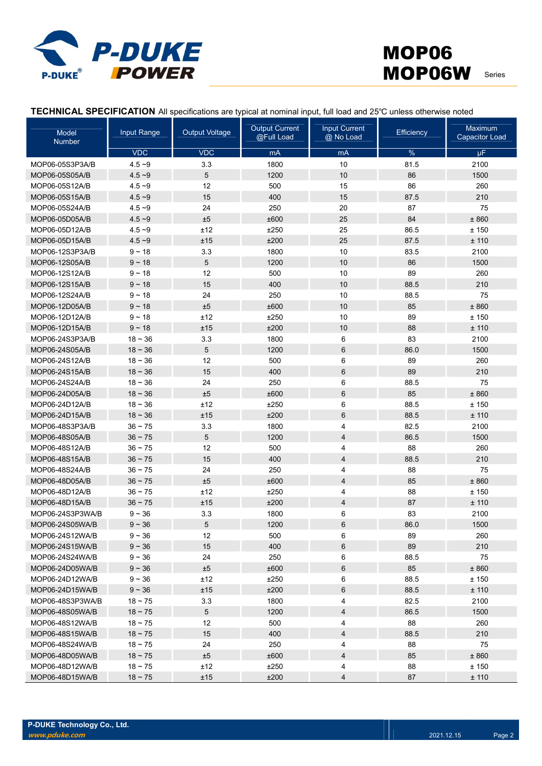

TECHNICAL SPECIFICATION All specifications are typical at nominal input, full load and 25℃ unless otherwise noted

| Model<br><b>Number</b> | Input Range  | <b>Output Voltage</b> | <b>Output Current</b><br>@Full Load | <b>Input Current</b><br>@ No Load | Efficiency | Maximum<br><b>Capacitor Load</b> |
|------------------------|--------------|-----------------------|-------------------------------------|-----------------------------------|------------|----------------------------------|
|                        | <b>VDC</b>   | <b>VDC</b>            | mA                                  | mA                                | %          | μF                               |
| MOP06-05S3P3A/B        | $4.5 - 9$    | 3.3                   | 1800                                | 10                                | 81.5       | 2100                             |
| MOP06-05S05A/B         | $4.5 - 9$    | 5                     | 1200                                | 10                                | 86         | 1500                             |
| MOP06-05S12A/B         | $4.5 - 9$    | 12                    | 500                                 | 15                                | 86         | 260                              |
| MOP06-05S15A/B         | $4.5 - 9$    | 15                    | 400                                 | 15                                | 87.5       | 210                              |
| MOP06-05S24A/B         | $4.5 - 9$    | 24                    | 250                                 | 20                                | 87         | 75                               |
| MOP06-05D05A/B         | $4.5 - 9$    | ±5                    | ±600                                | 25                                | 84         | ± 860                            |
| MOP06-05D12A/B         | $4.5 - 9$    | ±12                   | ±250                                | 25                                | 86.5       | ±150                             |
| MOP06-05D15A/B         | $4.5 - 9$    | ±15                   | ±200                                | 25                                | 87.5       | ± 110                            |
| MOP06-12S3P3A/B        | $9 - 18$     | 3.3                   | 1800                                | 10                                | 83.5       | 2100                             |
| MOP06-12S05A/B         | $9 - 18$     | 5                     | 1200                                | 10                                | 86         | 1500                             |
| MOP06-12S12A/B         | $9 - 18$     | 12                    | 500                                 | 10                                | 89         | 260                              |
| MOP06-12S15A/B         | $9 - 18$     | 15                    | 400                                 | 10                                | 88.5       | 210                              |
| MOP06-12S24A/B         | $9 - 18$     | 24                    | 250                                 | 10                                | 88.5       | 75                               |
| MOP06-12D05A/B         | $9 - 18$     | ±5                    | ±600                                | 10                                | 85         | ± 860                            |
| MOP06-12D12A/B         | $9 - 18$     | ±12                   | ±250                                | 10                                | 89         | ±150                             |
| MOP06-12D15A/B         | $9 - 18$     | ±15                   | ±200                                | 10                                | 88         | ± 110                            |
| MOP06-24S3P3A/B        | $18 - 36$    | 3.3                   | 1800                                | 6                                 | 83         | 2100                             |
| MOP06-24S05A/B         | $18 - 36$    | 5                     | 1200                                | 6                                 | 86.0       | 1500                             |
| MOP06-24S12A/B         | $18 - 36$    | 12                    | 500                                 | 6                                 | 89         | 260                              |
| MOP06-24S15A/B         | $18 - 36$    | 15                    | 400                                 | $6\phantom{1}$                    | 89         | 210                              |
| MOP06-24S24A/B         | $18 - 36$    | 24                    | 250                                 | 6                                 | 88.5       | 75                               |
| MOP06-24D05A/B         | $18 - 36$    | ±5                    | ±600                                | $6\phantom{1}$                    | 85         | ± 860                            |
| MOP06-24D12A/B         | $18 - 36$    | ±12                   | ±250                                | 6                                 | 88.5       | ±150                             |
| MOP06-24D15A/B         | $18 - 36$    | ±15                   | ±200                                | $6\phantom{1}$                    | 88.5       | ± 110                            |
| MOP06-48S3P3A/B        | $36 - 75$    | 3.3                   | 1800                                | 4                                 | 82.5       | 2100                             |
| MOP06-48S05A/B         | $36 - 75$    | 5                     | 1200                                | 4                                 | 86.5       | 1500                             |
| MOP06-48S12A/B         | $36 - 75$    | 12                    | 500                                 | 4                                 | 88         | 260                              |
| MOP06-48S15A/B         | $36 - 75$    | 15                    | 400                                 | $\overline{4}$                    | 88.5       | 210                              |
| MOP06-48S24A/B         | $36 - 75$    | 24                    | 250                                 | 4                                 | 88         | 75                               |
| MOP06-48D05A/B         | $36 - 75$    | ±5                    | ±600                                | $\overline{4}$                    | 85         | ± 860                            |
| MOP06-48D12A/B         | $36 - 75$    | ±12                   | ±250                                | 4                                 | 88         | ±150                             |
| MOP06-48D15A/B         | $36 - 75$    | ±15                   | ±200                                | $\overline{4}$                    | 87         | ± 110                            |
| MOP06-24S3P3WA/B       | $9 - 36$     | 3.3                   | 1800                                | 6                                 | 83         | 2100                             |
| MOP06-24S05WA/B        | $9 - 36$     | 5                     | 1200                                | 6                                 | 86.0       | 1500                             |
| MOP06-24S12WA/B        | $9 - 36$     | 12                    | 500                                 | 6                                 | 89         | 260                              |
| MOP06-24S15WA/B        | $9 - 36$     | 15                    | 400                                 | 6                                 | 89         | 210                              |
| MOP06-24S24WA/B        | $9 - 36$     | 24                    | 250                                 | 6                                 | 88.5       | 75                               |
| MOP06-24D05WA/B        | $9 - 36$     | ±5                    | ±600                                | 6                                 | 85         | $\pm$ 860                        |
| MOP06-24D12WA/B        | $9 - 36$     | ±12                   | ±250                                | 6                                 | 88.5       | ±150                             |
| MOP06-24D15WA/B        | $9 - 36$     | ±15                   | ±200                                | 6                                 | 88.5       | ± 110                            |
| MOP06-48S3P3WA/B       | $18 - 75$    | 3.3                   | 1800                                | 4                                 | 82.5       | 2100                             |
| MOP06-48S05WA/B        | $18 - 75$    | 5                     | 1200                                | 4                                 | 86.5       | 1500                             |
| MOP06-48S12WA/B        | $18 - 75$    | 12                    | 500                                 | 4                                 | 88         | 260                              |
| MOP06-48S15WA/B        | $18 - 75$    | 15                    | 400                                 | 4                                 | 88.5       | 210                              |
| MOP06-48S24WA/B        | $18 - 75$    | 24                    | 250                                 | 4                                 | 88         | 75                               |
| MOP06-48D05WA/B        | $18 - 75$    | ±5                    | ±600                                | 4                                 | 85         | ± 860                            |
| MOP06-48D12WA/B        | $18 - 75$    | ±12                   | ±250                                | 4                                 | 88         | ±150                             |
| MOP06-48D15WA/B        | $18 \sim 75$ | ±15                   | ±200                                | $\overline{4}$                    | 87         | ± 110                            |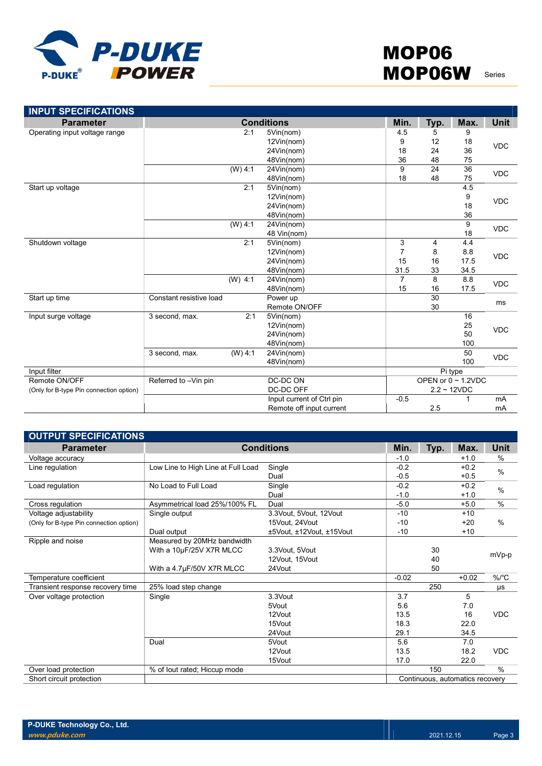

| <b>INPUT SPECIFICATIONS</b>             |                         |           |                           |                          |         |      |             |  |
|-----------------------------------------|-------------------------|-----------|---------------------------|--------------------------|---------|------|-------------|--|
| <b>Parameter</b>                        |                         |           | <b>Conditions</b>         | Min.                     | Typ.    | Max. | <b>Unit</b> |  |
| Operating input voltage range           |                         | 2:1       | 5Vin(nom)                 | 4.5                      | 5       | 9    |             |  |
|                                         |                         |           | 12Vin(nom)                | 9                        | 12      | 18   | <b>VDC</b>  |  |
|                                         |                         |           | 24Vin(nom)                | 18                       | 24      | 36   |             |  |
|                                         |                         |           | 48Vin(nom)                | 36                       | 48      | 75   |             |  |
|                                         |                         | $(W)$ 4:1 | 24Vin(nom)                | 9                        | 24      | 36   | <b>VDC</b>  |  |
|                                         |                         |           | 48Vin(nom)                | 18                       | 48      | 75   |             |  |
| Start up voltage                        |                         | 2:1       | 5Vin(nom)                 |                          |         | 4.5  |             |  |
|                                         |                         |           | 12Vin(nom)                |                          |         | 9    | <b>VDC</b>  |  |
|                                         |                         |           | 24Vin(nom)                |                          |         | 18   |             |  |
|                                         |                         |           | 48Vin(nom)                |                          |         | 36   |             |  |
|                                         |                         | $(W)$ 4:1 | 24Vin(nom)                |                          |         | 9    | <b>VDC</b>  |  |
|                                         |                         |           | 48 Vin(nom)               |                          |         | 18   |             |  |
| Shutdown voltage                        |                         | 2:1       | 5Vin(nom)                 | 3                        | 4       | 4.4  |             |  |
|                                         |                         |           | 12Vin(nom)                | $\overline{7}$           | 8       | 8.8  | <b>VDC</b>  |  |
|                                         |                         |           | 24Vin(nom)                | 15                       | 16      | 17.5 |             |  |
|                                         |                         |           | 48Vin(nom)                | 31.5                     | 33      | 34.5 |             |  |
|                                         |                         | $(W)$ 4:1 | 24Vin(nom)                | $\overline{7}$           | 8       | 8.8  | <b>VDC</b>  |  |
|                                         |                         |           | 48Vin(nom)                | 15                       | 16      | 17.5 |             |  |
| Start up time                           | Constant resistive load |           | Power up                  |                          | 30      |      | ms          |  |
|                                         |                         |           | Remote ON/OFF             |                          | 30      |      |             |  |
| Input surge voltage                     | 3 second, max.          | 2:1       | 5Vin(nom)                 |                          |         | 16   |             |  |
|                                         |                         |           | 12Vin(nom)                |                          |         | 25   | <b>VDC</b>  |  |
|                                         |                         |           | 24Vin(nom)                |                          |         | 50   |             |  |
|                                         |                         |           | 48Vin(nom)                |                          |         | 100  |             |  |
|                                         | 3 second, max.          | $(W)$ 4:1 | 24Vin(nom)                |                          |         | 50   | <b>VDC</b>  |  |
|                                         |                         |           | 48Vin(nom)                |                          |         | 100  |             |  |
| Input filter                            |                         |           |                           |                          | Pi type |      |             |  |
| Remote ON/OFF                           | Referred to -Vin pin    |           | DC-DC ON                  | OPEN or $0 \sim 1.2$ VDC |         |      |             |  |
| (Only for B-type Pin connection option) |                         |           | DC-DC OFF                 | $2.2 - 12VDC$            |         |      |             |  |
|                                         |                         |           | Input current of Ctrl pin | $-0.5$                   |         |      | mA          |  |
|                                         |                         |           | Remote off input current  |                          | 2.5     |      | mA          |  |

| <b>OUTPUT SPECIFICATIONS</b>            |                                    |                          |         |      |                                 |               |
|-----------------------------------------|------------------------------------|--------------------------|---------|------|---------------------------------|---------------|
| <b>Parameter</b>                        |                                    | <b>Conditions</b>        | Min.    | Typ. | Max.                            | <b>Unit</b>   |
| Voltage accuracy                        |                                    |                          | $-1.0$  |      | $+1.0$                          | %             |
| Line regulation                         | Low Line to High Line at Full Load | Single                   | $-0.2$  |      | $+0.2$                          | $\%$          |
|                                         |                                    | Dual                     | $-0.5$  |      | $+0.5$                          |               |
| Load regulation                         | No Load to Full Load               | Single                   | $-0.2$  |      | $+0.2$                          | $\%$          |
|                                         |                                    | Dual                     | $-1.0$  |      | $+1.0$                          |               |
| Cross regulation                        | Asymmetrical load 25%/100% FL      | Dual                     | $-5.0$  |      | $+5.0$                          | $\%$          |
| Voltage adjustability                   | Single output                      | 3.3Vout, 5Vout, 12Vout   | $-10$   |      | $+10$                           |               |
| (Only for B-type Pin connection option) |                                    | 15Vout. 24Vout           | $-10$   |      | $+20$                           | $\%$          |
|                                         | Dual output                        | ±5Vout, ±12Vout, ±15Vout | $-10$   |      | $+10$                           |               |
| Ripple and noise                        | Measured by 20MHz bandwidth        |                          |         |      |                                 |               |
|                                         | With a 10µF/25V X7R MLCC           | 3.3Vout, 5Vout           |         | 30   |                                 |               |
|                                         |                                    | 12Vout, 15Vout           |         | 40   |                                 | mVp-p         |
|                                         | With a 4.7µF/50V X7R MLCC          | 24Vout                   |         | 50   |                                 |               |
| Temperature coefficient                 |                                    |                          | $-0.02$ |      | $+0.02$                         | %/°C          |
| Transient response recovery time        | 25% load step change               |                          |         | 250  |                                 | μs            |
| Over voltage protection                 | Single                             | 3.3Vout                  | 3.7     |      | 5                               |               |
|                                         |                                    | 5Vout                    | 5.6     |      | 7.0                             |               |
|                                         |                                    | 12Vout                   | 13.5    |      | 16                              | <b>VDC</b>    |
|                                         |                                    | 15Vout                   | 18.3    |      | 22.0                            |               |
|                                         |                                    | 24Vout                   | 29.1    |      | 34.5                            |               |
|                                         | Dual                               | 5Vout                    | 5.6     |      | 7.0                             |               |
|                                         |                                    | 12Vout                   | 13.5    |      | 18.2                            | <b>VDC</b>    |
|                                         |                                    | 15Vout                   | 17.0    |      | 22.0                            |               |
| Over load protection                    | % of lout rated; Hiccup mode       |                          |         | 150  |                                 | $\frac{0}{0}$ |
| Short circuit protection                |                                    |                          |         |      | Continuous, automatics recovery |               |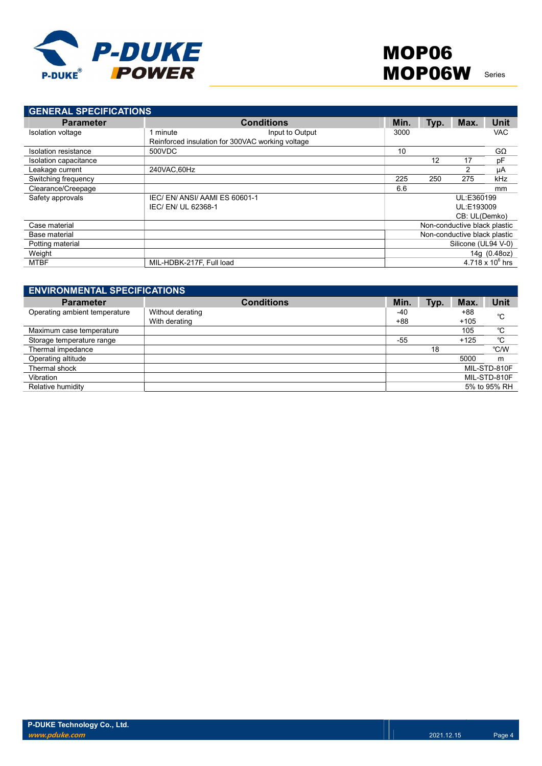

| <b>GENERAL SPECIFICATIONS</b> |                                                  |                   |              |      |                              |                    |
|-------------------------------|--------------------------------------------------|-------------------|--------------|------|------------------------------|--------------------|
| <b>Parameter</b>              |                                                  | <b>Conditions</b> | Min.         | Typ. | Max.                         | <b>Unit</b>        |
| Isolation voltage             | minute                                           | Input to Output   | 3000         |      |                              | <b>VAC</b>         |
|                               | Reinforced insulation for 300VAC working voltage |                   |              |      |                              |                    |
| Isolation resistance          | 500VDC                                           |                   | 10           |      |                              | $G\Omega$          |
| Isolation capacitance         |                                                  |                   |              | 12   | 17                           | pF                 |
| Leakage current               | 240VAC.60Hz                                      |                   |              |      | 2                            | μA                 |
| Switching frequency           |                                                  |                   | 225          | 250  | 275                          | kHz                |
| Clearance/Creepage            |                                                  |                   | 6.6          |      |                              | mm                 |
| Safety approvals              | IEC/EN/ANSI/AAMIES 60601-1                       |                   |              |      | UL:E360199                   |                    |
|                               | IEC/ EN/ UL 62368-1                              |                   |              |      | UL:E193009                   |                    |
|                               |                                                  |                   |              |      | CB: UL(Demko)                |                    |
| Case material                 |                                                  |                   |              |      | Non-conductive black plastic |                    |
| Base material                 |                                                  |                   |              |      | Non-conductive black plastic |                    |
| Potting material              |                                                  |                   |              |      | Silicone (UL94 V-0)          |                    |
| Weight                        |                                                  |                   | 14g (0.48oz) |      |                              |                    |
| <b>MTBF</b>                   | MIL-HDBK-217F, Full load                         |                   |              |      |                              | 4.718 x $10^6$ hrs |

| <b>ENVIRONMENTAL SPECIFICATIONS</b> |                                   |              |      |                 |              |
|-------------------------------------|-----------------------------------|--------------|------|-----------------|--------------|
| <b>Parameter</b>                    | <b>Conditions</b>                 | Min.         | Typ. | Max.            | Unit         |
| Operating ambient temperature       | Without derating<br>With derating | -40<br>$+88$ |      | $+88$<br>$+105$ | °C           |
| Maximum case temperature            |                                   |              |      | 105             | °C           |
| Storage temperature range           |                                   | $-55$        |      | $+125$          | °C           |
| Thermal impedance                   |                                   |              | 18   |                 | °C/W         |
| Operating altitude                  |                                   |              |      | 5000            | m            |
| Thermal shock                       |                                   |              |      |                 | MIL-STD-810F |
| Vibration                           |                                   |              |      |                 | MIL-STD-810F |
| Relative humidity                   |                                   |              |      |                 | 5% to 95% RH |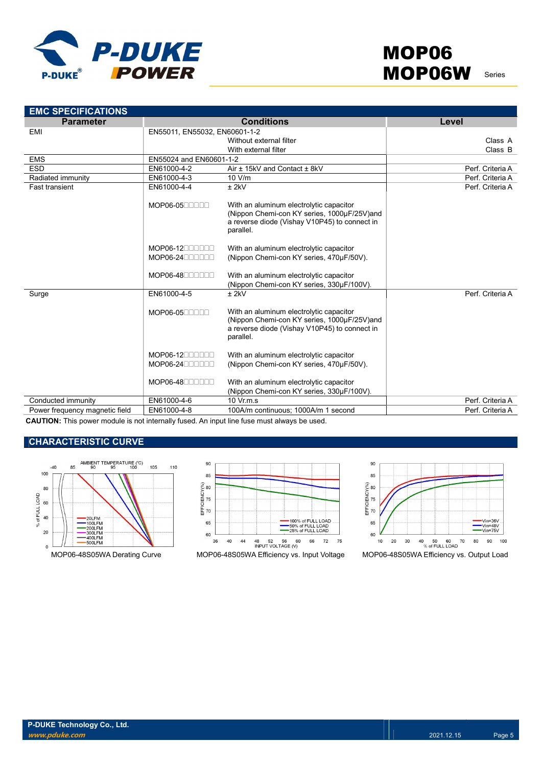

| <b>EMC SPECIFICATIONS</b>      |                               |                                                                                                                                                      |                  |
|--------------------------------|-------------------------------|------------------------------------------------------------------------------------------------------------------------------------------------------|------------------|
| <b>Parameter</b>               |                               | <b>Conditions</b>                                                                                                                                    | Level            |
| EMI                            | EN55011, EN55032, EN60601-1-2 |                                                                                                                                                      |                  |
|                                |                               | Without external filter                                                                                                                              | Class A          |
|                                |                               | With external filter                                                                                                                                 | Class B          |
| <b>EMS</b>                     | EN55024 and EN60601-1-2       |                                                                                                                                                      |                  |
| <b>ESD</b>                     | EN61000-4-2                   | Air ± 15kV and Contact ± 8kV                                                                                                                         | Perf. Criteria A |
| Radiated immunity              | EN61000-4-3                   | 10 V/m                                                                                                                                               | Perf. Criteria A |
| <b>Fast transient</b>          | EN61000-4-4                   | $±$ 2kV                                                                                                                                              | Perf. Criteria A |
|                                | MOP06-0500000                 | With an aluminum electrolytic capacitor<br>(Nippon Chemi-con KY series, 1000µF/25V)and<br>a reverse diode (Vishay V10P45) to connect in<br>parallel. |                  |
|                                | $MOP06-12$<br>$MOP06-24$      | With an aluminum electrolytic capacitor<br>(Nippon Chemi-con KY series, 470µF/50V).                                                                  |                  |
|                                | MOP06-4800000                 | With an aluminum electrolytic capacitor<br>(Nippon Chemi-con KY series, 330µF/100V).                                                                 |                  |
| Surge                          | EN61000-4-5                   | $±$ 2kV                                                                                                                                              | Perf. Criteria A |
|                                | MOP06-0500000                 | With an aluminum electrolytic capacitor<br>(Nippon Chemi-con KY series, 1000µF/25V)and<br>a reverse diode (Vishay V10P45) to connect in<br>parallel. |                  |
|                                | $MOP06-12$<br>$MOP06-24$      | With an aluminum electrolytic capacitor<br>(Nippon Chemi-con KY series, 470µF/50V).                                                                  |                  |
|                                | MOP06-4800000                 | With an aluminum electrolytic capacitor<br>(Nippon Chemi-con KY series, 330µF/100V).                                                                 |                  |
| Conducted immunity             | EN61000-4-6                   | $10 \text{ Vr.m.s}$                                                                                                                                  | Perf. Criteria A |
| Power frequency magnetic field | EN61000-4-8                   | 100A/m continuous; 1000A/m 1 second                                                                                                                  | Perf. Criteria A |
|                                |                               |                                                                                                                                                      |                  |

CAUTION: This power module is not internally fused. An input line fuse must always be used.

## CHARACTERISTIC CURVE





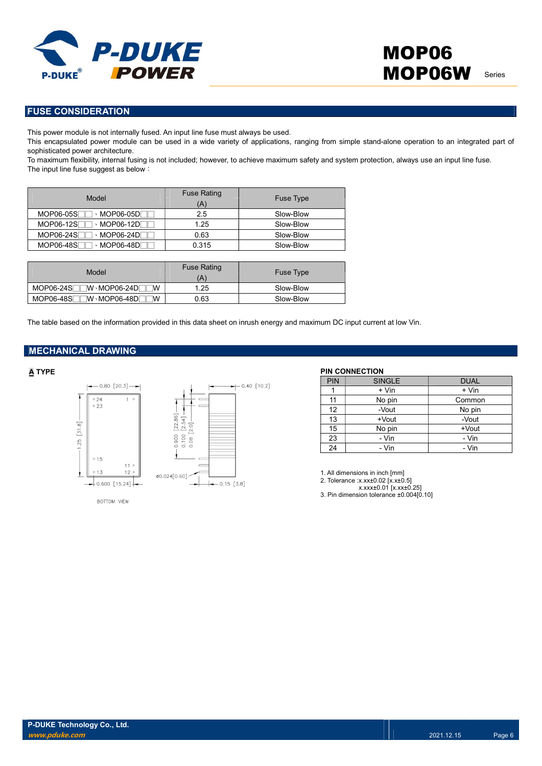

### FUSE CONSIDERATION

This power module is not internally fused. An input line fuse must always be used.

This encapsulated power module can be used in a wide variety of applications, ranging from simple stand-alone operation to an integrated part of sophisticated power architecture.

To maximum flexibility, internal fusing is not included; however, to achieve maximum safety and system protection, always use an input line fuse. The input line fuse suggest as below:

| Model                                 | <b>Fuse Rating</b><br>Ά | Fuse Type |
|---------------------------------------|-------------------------|-----------|
| MOP06-05S<br>、MOP06-05D୮              | 2.5                     | Slow-Blow |
| MOP06-12S<br>$\cdot$ MOP06-12D $\Box$ | 1.25                    | Slow-Blow |
| MOP06-24SF<br>$\cdot$ MOP06-24D       | 0.63                    | Slow-Blow |
| MOP06-48SF<br>NOP06-48D⊺ ^            | 0.315                   | Slow-Blow |

| Model                                         | <b>Fuse Rating</b><br>$\left( A\right)$ | <b>Fuse Type</b> |
|-----------------------------------------------|-----------------------------------------|------------------|
| MOP06-24S <sup>---</sup> -W MOP06-24D<br>W    | 1.25                                    | Slow-Blow        |
| MOP06-48SL<br>⊺W <sub>`</sub> MOP06-48D୮<br>W | 0.63                                    | Slow-Blow        |

The table based on the information provided in this data sheet on inrush energy and maximum DC input current at low Vin.

### MECHANICAL DRAWING



 $-0.40$  [10.2]  $\leftarrow 0.15 [3.8]$ 

### BOTTOM VIEW

### A TYPE PIN CONNECTION

| <b>PIN</b> | <b>SINGLE</b> | <b>DUAL</b> |
|------------|---------------|-------------|
|            | + Vin         | + Vin       |
| 11         | No pin        | Common      |
| 12         | -Vout         | No pin      |
| 13         | +Vout         | -Vout       |
| 15         | No pin        | $+$ Vout    |
| 23         | - Vin         | - Vin       |
| 24         | - Vin         | - Vin       |

1. All dimensions in inch [mm]

- 2. Tolerance :x.xx±0.02 [x.x±0.5]
- x.xxx±0.01 [x.xx±0.25]

3. Pin dimension tolerance ±0.004[0.10]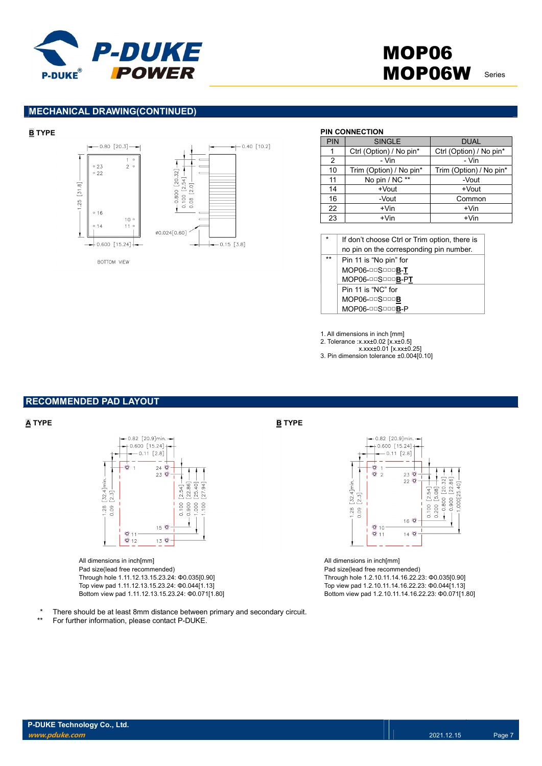

# MOP06 MOP06W Series

### MECHANICAL DRAWING(CONTINUED)





 $-0.40$  [10.2]

### BOTTOM VIEW

### **B** TYPE PIN CONNECTION

| PIN | <b>SINGLE</b>           | <b>DUAL</b>             |
|-----|-------------------------|-------------------------|
| 1   | Ctrl (Option) / No pin* | Ctrl (Option) / No pin* |
| 2   | - Vin                   | - Vin                   |
| 10  | Trim (Option) / No pin* | Trim (Option) / No pin* |
| 11  | No pin / NC **          | -Vout                   |
| 14  | +Vout                   | +Vout                   |
| 16  | -Vout                   | Common                  |
| 22  | $+V$ in                 | $+V$ in                 |
| 23  | $+V$ in                 | $+V$ in                 |

If don't choose Ctrl or Trim option, there is no pin on the corresponding pin number. Pin 11 is "No pin" for

| MOP06-00S000B-T    |
|--------------------|
| MOP06-00S000B-PT   |
| Pin 11 is "NC" for |
| MOP06-00S000B      |
| MOP06-00S000B-P    |

1. All dimensions in inch [mm]

- 2. Tolerance :x.xx±0.02 [x.x±0.5]
- x.xxx±0.01 [x.xx±0.25]

### 3. Pin dimension tolerance ±0.004[0.10]

### RECOMMENDED PAD LAYOUT



All dimensions in inch[mm] Pad size(lead free recommended) Through hole 1.11.12.13.15.23.24: Φ0.035[0.90] Top view pad 1.11.12.13.15.23.24: Φ0.044[1.13] Bottom view pad 1.11.12.13.15.23.24: Φ0.071[1.80]



All dimensions in inch[mm] Pad size(lead free recommended) Through hole 1.2.10.11.14.16.22.23: Φ0.035[0.90] Top view pad 1.2.10.11.14.16.22.23: Φ0.044[1.13] Bottom view pad 1.2.10.11.14.16.22.23: Φ0.071[1.80]

There should be at least 8mm distance between primary and secondary circuit.

\*\* For further information, please contact P-DUKE.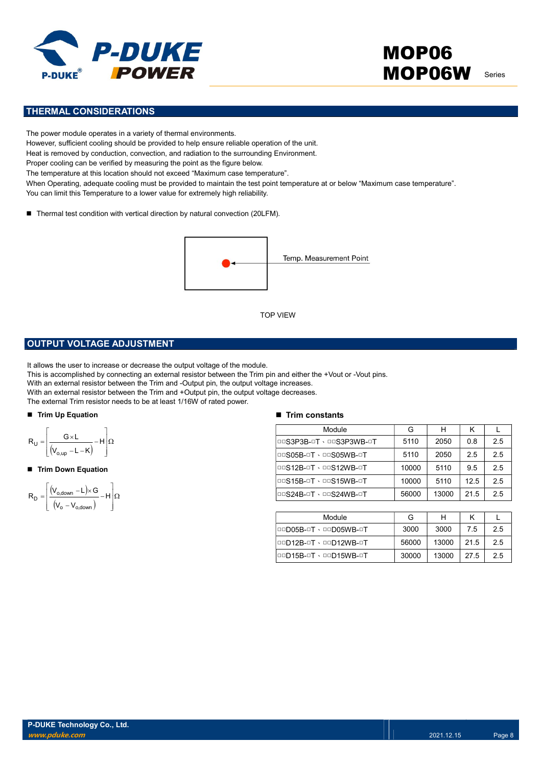

# MOP06 MOP06W Series

### THERMAL CONSIDERATIONS

The power module operates in a variety of thermal environments. However, sufficient cooling should be provided to help ensure reliable operation of the unit. Heat is removed by conduction, convection, and radiation to the surrounding Environment. Proper cooling can be verified by measuring the point as the figure below. The temperature at this location should not exceed "Maximum case temperature". When Operating, adequate cooling must be provided to maintain the test point temperature at or below "Maximum case temperature". You can limit this Temperature to a lower value for extremely high reliability.

■ Thermal test condition with vertical direction by natural convection (20LFM).



### OUTPUT VOLTAGE ADJUSTMENT

It allows the user to increase or decrease the output voltage of the module.

This is accomplished by connecting an external resistor between the Trim pin and either the +Vout or -Vout pins.

With an external resistor between the Trim and -Output pin, the output voltage increases.

With an external resistor between the Trim and +Output pin, the output voltage decreases.

The external Trim resistor needs to be at least 1/16W of rated power.

### ■ Trim Up Equation

$$
R_U = \left\lfloor \frac{G \times L}{(V_{o,up} - L - K)} - H \right\rfloor \Omega
$$

Trim Down Equation

$$
R_D=\!\left[\!\!\begin{array}{c} \displaystyle \left(\!V_{o,\textrm{down}}\!-\!L\!\right)\!\!\times\! G\\ \displaystyle \left(\!V_o-V_{o,\textrm{down}}\!\right)\!-\!H\!\right]\!\!\Omega\end{array}\!\!\right]
$$

### $\blacksquare$  Trim constants

|                                                                                                                                                                                                                                                                                                                                                                                                                           | <b>TOP VIEW</b>               |       |       |      |     |
|---------------------------------------------------------------------------------------------------------------------------------------------------------------------------------------------------------------------------------------------------------------------------------------------------------------------------------------------------------------------------------------------------------------------------|-------------------------------|-------|-------|------|-----|
| UT VOLTAGE ADJUSTMENT                                                                                                                                                                                                                                                                                                                                                                                                     |                               |       |       |      |     |
| the user to increase or decrease the output voltage of the module.<br>ccomplished by connecting an external resistor between the Trim pin and either the +Vout or -Vout pins.<br>external resistor between the Trim and -Output pin, the output voltage increases.<br>external resistor between the Trim and +Output pin, the output voltage decreases.<br>ernal Trim resistor needs to be at least 1/16W of rated power. |                               |       |       |      |     |
| <b>Up Equation</b>                                                                                                                                                                                                                                                                                                                                                                                                        | <b>Trim constants</b>         |       |       |      |     |
|                                                                                                                                                                                                                                                                                                                                                                                                                           | Module                        | G     | H     | K    | L   |
| $\left.\frac{G\times L}{V_{o,up}-L-K}\right\rangle -H\left \Omega\right $                                                                                                                                                                                                                                                                                                                                                 | DOS3P3B-OT · DOS3P3WB-OT      | 5110  | 2050  | 0.8  | 2.5 |
|                                                                                                                                                                                                                                                                                                                                                                                                                           | <b>DOS05B-OT · DOS05WB-OT</b> | 5110  | 2050  | 2.5  | 2.5 |
| <b>Down Equation</b>                                                                                                                                                                                                                                                                                                                                                                                                      | <b>DOS12B-OT · DOS12WB-OT</b> | 10000 | 5110  | 9.5  | 2.5 |
|                                                                                                                                                                                                                                                                                                                                                                                                                           | <b>DOS15B-OT · DOS15WB-OT</b> | 10000 | 5110  | 12.5 | 2.5 |
| $\frac{V_{\text{o,down}} - L \times G}{(V_{\text{o}} - V_{\text{o,down}})} - H \left[ \Omega \right]$                                                                                                                                                                                                                                                                                                                     | <b>DOS24B-OT · DOS24WB-OT</b> | 56000 | 13000 | 21.5 | 2.5 |
|                                                                                                                                                                                                                                                                                                                                                                                                                           |                               |       |       |      |     |
|                                                                                                                                                                                                                                                                                                                                                                                                                           | Module                        | G     | H     | Κ    | L   |
|                                                                                                                                                                                                                                                                                                                                                                                                                           | <b>OOD05B-OT · OOD05WB-OT</b> | 3000  | 3000  | 7.5  | 2.5 |
|                                                                                                                                                                                                                                                                                                                                                                                                                           | 00D12B-0T \ 00D12WB-0T        | 56000 | 13000 | 21.5 | 2.5 |
|                                                                                                                                                                                                                                                                                                                                                                                                                           | 00D15B-0T · 00D15WB-0T        | 30000 | 13000 | 27.5 | 2.5 |

| Module                 | G     |       |      |    |
|------------------------|-------|-------|------|----|
| I□□D05B-□T、□□D05WB-□T  | 3000  | 3000  | 7.5  | 25 |
| 00D12B-0T \ 00D12WB-0T | 56000 | 13000 | 21.5 | 25 |
| 00015B-0T · 00015WB-0T | 30000 | 13000 | 27.5 | 25 |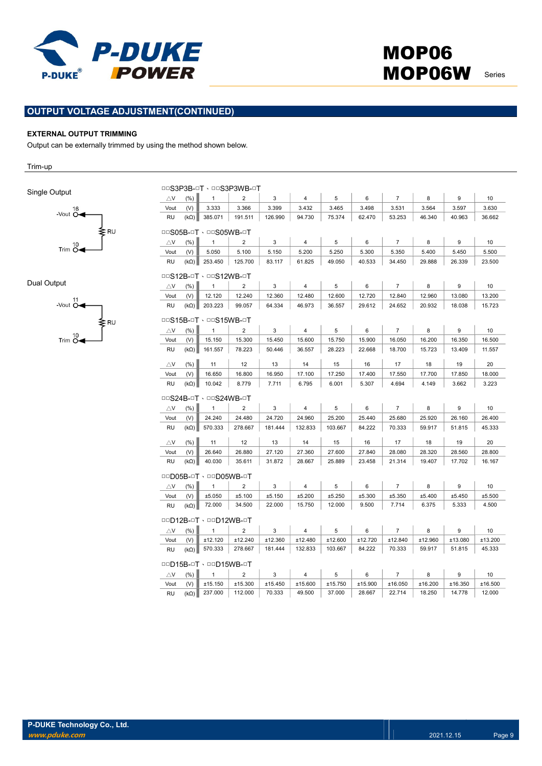

## OUTPUT VOLTAGE ADJUSTMENT(CONTINUED)

### EXTERNAL OUTPUT TRIMMING

Output can be externally trimmed by using the method shown below.

Trim-up

Single Output



Dual Output



|                               | DOS3P3B-OT . DOS3P3WB-OT      |                        |                |         |                |         |         |                |         |         |         |
|-------------------------------|-------------------------------|------------------------|----------------|---------|----------------|---------|---------|----------------|---------|---------|---------|
| $\triangle$ V                 | (%)                           | $\mathbf{1}$           | $\overline{2}$ | 3       | $\overline{4}$ | 5       | 6       | $\overline{7}$ | 8       | 9       | 10      |
| Vout                          | (V)                           | 3.333                  | 3.366          | 3.399   | 3.432          | 3.465   | 3.498   | 3.531          | 3.564   | 3.597   | 3.630   |
| <b>RU</b>                     | $(k\Omega)$                   | 385.071                | 191.511        | 126.990 | 94.730         | 75.374  | 62.470  | 53.253         | 46.340  | 40.963  | 36.662  |
|                               | □□S05B-□T、□□S05WB-□T          |                        |                |         |                |         |         |                |         |         |         |
| $\triangle$ V                 | (%)                           | $\mathbf{1}$           | $\overline{2}$ | 3       | $\overline{4}$ | 5       | 6       | $\overline{7}$ | 8       | 9       | 10      |
| Vout                          | (V)                           | 5.050                  | 5.100          | 5.150   | 5.200          | 5.250   | 5.300   | 5.350          | 5.400   | 5.450   | 5.500   |
| <b>RU</b>                     | $(k\Omega)$                   | 253.450                | 125.700        | 83.117  | 61.825         | 49.050  | 40.533  | 34.450         | 29.888  | 26.339  | 23.500  |
| <b>DOS12B-OT · DOS12WB-OT</b> |                               |                        |                |         |                |         |         |                |         |         |         |
| $\triangle$ V                 | (% )                          | $\mathbf{1}$           | $\overline{2}$ | 3       | $\overline{4}$ | 5       | 6       | $\overline{7}$ | 8       | 9       | 10      |
| Vout                          | (V)                           | 12.120                 | 12.240         | 12.360  | 12.480         | 12.600  | 12.720  | 12.840         | 12.960  | 13.080  | 13.200  |
| <b>RU</b>                     | $(k\Omega)$                   | 203.223                | 99.057         | 64.334  | 46.973         | 36.557  | 29.612  | 24.652         | 20.932  | 18.038  | 15.723  |
|                               | <b>OOS15B-OT · OOS15WB-OT</b> |                        |                |         |                |         |         |                |         |         |         |
| $\triangle$ V                 | (% )                          | $\mathbf{1}$           | $\overline{2}$ | 3       | 4              | 5       | 6       | $\overline{7}$ | 8       | 9       | 10      |
| Vout                          | (V)                           | 15.150                 | 15.300         | 15.450  | 15.600         | 15.750  | 15.900  | 16.050         | 16.200  | 16.350  | 16.500  |
| RU                            | $(k\Omega)$                   | 161.557                | 78.223         | 50.446  | 36.557         | 28.223  | 22.668  | 18.700         | 15.723  | 13.409  | 11.557  |
| $\triangle$ V                 | (% )                          | 11                     | 12             | 13      | 14             | 15      | 16      | 17             | 18      | 19      | 20      |
| Vout                          | (V)                           | 16.650                 | 16.800         | 16.950  | 17.100         | 17.250  | 17.400  | 17.550         | 17.700  | 17.850  | 18.000  |
| <b>RU</b>                     | $(k\Omega)$                   | 10.042                 | 8.779          | 7.711   | 6.795          | 6.001   | 5.307   | 4.694          | 4.149   | 3.662   | 3.223   |
|                               |                               | □□S24B-□T、□□S24WB-□T   |                |         |                |         |         |                |         |         |         |
| $\triangle$ V                 | (% )                          | $\mathbf{1}$           | $\overline{2}$ | 3       | $\overline{4}$ | 5       | 6       | $\overline{7}$ | 8       | 9       | 10      |
| Vout                          | (V)                           | 24.240                 | 24.480         | 24.720  | 24.960         | 25.200  | 25.440  | 25.680         | 25.920  | 26.160  | 26.400  |
| <b>RU</b>                     | $(k\Omega)$                   | 570.333                | 278.667        | 181.444 | 132.833        | 103.667 | 84.222  | 70.333         | 59.917  | 51.815  | 45.333  |
| $\triangle$ V                 | (% )                          | 11                     | 12             | 13      | 14             | 15      | 16      | 17             | 18      | 19      | 20      |
| Vout                          | (V)                           | 26.640                 | 26.880         | 27.120  | 27.360         | 27.600  | 27.840  | 28.080         | 28.320  | 28.560  | 28.800  |
| <b>RU</b>                     | $(k\Omega)$                   | 40.030                 | 35.611         | 31.872  | 28.667         | 25.889  | 23.458  | 21.314         | 19.407  | 17.702  | 16.167  |
|                               |                               | 00D05B-0T · 00D05WB-0T |                |         |                |         |         |                |         |         |         |
| $\triangle$ V                 | (% )                          | $\mathbf{1}$           | 2              | 3       | 4              | 5       | 6       | $\overline{7}$ | 8       | 9       | 10      |
| Vout                          | (V)                           | ±5.050                 | ±5.100         | ±5.150  | ±5.200         | ±5.250  | ±5.300  | ±5.350         | ±5.400  | ±5.450  | ±5.500  |
| <b>RU</b>                     |                               |                        |                |         |                |         |         |                |         |         |         |
| 00D12B-0T · 00D12WB-0T        |                               |                        |                |         |                |         |         |                | 6.375   | 5.333   | 4.500   |
|                               | $(k\Omega)$                   | 72.000                 | 34.500         | 22.000  | 15.750         | 12.000  | 9.500   | 7.714          |         |         |         |
| $\triangle$ V                 | (% )                          | $\mathbf{1}$           | $\overline{2}$ | 3       | $\overline{4}$ | 5       | 6       | $\overline{7}$ | 8       | 9       | 10      |
| Vout                          | (V)                           | ±12.120                | ±12.240        | ±12.360 | ±12.480        | ±12.600 | ±12.720 | ±12.840        | ±12.960 | ±13.080 | ±13.200 |
| RU                            | $(k\Omega)$                   | 570.333                | 278.667        | 181.444 | 132.833        | 103.667 | 84.222  | 70.333         | 59.917  | 51.815  | 45.333  |
|                               |                               | 00D15B-0T · 00D15WB-0T |                |         |                |         |         |                |         |         |         |
| $\triangle$ V                 | (%)                           | $\mathbf{1}$           | $\overline{2}$ | 3       | $\overline{4}$ | 5       | 6       | $\overline{7}$ | 8       | 9       | 10      |
| Vout                          | (V)                           | ±15.150                | ±15.300        | ±15.450 | ±15.600        | ±15.750 | ±15.900 | ±16.050        | ±16.200 | ±16.350 | ±16.500 |